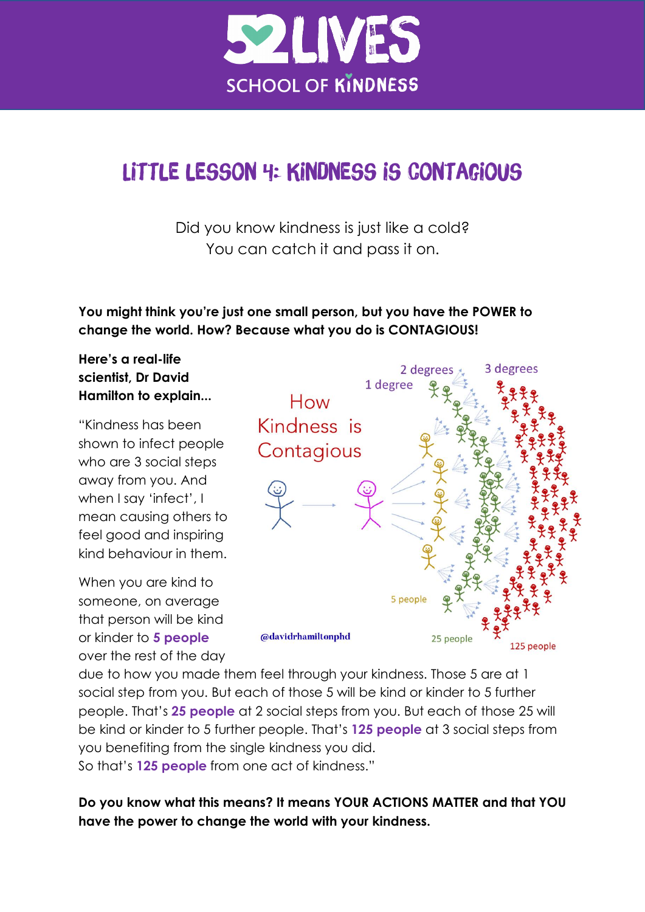

# Little lesson 4: Kindness is contagious

Did you know kindness is just like a cold? You can catch it and pass it on.

**You might think you're just one small person, but you have the POWER to change the world. How? Because what you do is CONTAGIOUS!** 

#### **Here's a real-life scientist, Dr David Hamilton to explain...**

"Kindness has been shown to infect people who are 3 social steps away from you. And when I say 'infect', I mean causing others to feel good and inspiring kind behaviour in them.

When you are kind to someone, on average that person will be kind or kinder to **5 people** over the rest of the day



due to how you made them feel through your kindness. Those 5 are at 1 social step from you. But each of those 5 will be kind or kinder to 5 further people. That's **25 people** at 2 social steps from you. But each of those 25 will be kind or kinder to 5 further people. That's **125 people** at 3 social steps from you benefiting from the single kindness you did. So that's **125 people** from one act of kindness."

**Do you know what this means? It means YOUR ACTIONS MATTER and that YOU have the power to change the world with your kindness.**